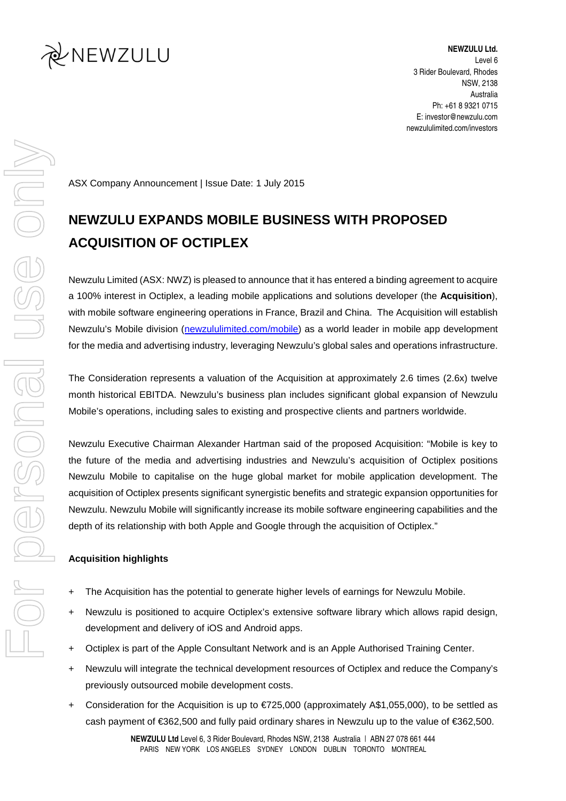

**NEWZULU Ltd.**  Level 6 3 Rider Boulevard, Rhodes NSW, 2138 Australia Ph: +61 8 9321 0715 E: investor@newzulu.com newzululimited.com/investors

ASX Company Announcement | Issue Date: 1 July 2015

# **NEWZULU EXPANDS MOBILE BUSINESS WITH PROPOSED ACQUISITION OF OCTIPLEX**

Newzulu Limited (ASX: NWZ) is pleased to announce that it has entered a binding agreement to acquire a 100% interest in Octiplex, a leading mobile applications and solutions developer (the **Acquisition**), with mobile software engineering operations in France, Brazil and China. The Acquisition will establish Newzulu's Mobile division (newzululimited.com/mobile) as a world leader in mobile app development for the media and advertising industry, leveraging Newzulu's global sales and operations infrastructure.

The Consideration represents a valuation of the Acquisition at approximately 2.6 times (2.6x) twelve month historical EBITDA. Newzulu's business plan includes significant global expansion of Newzulu Mobile's operations, including sales to existing and prospective clients and partners worldwide.

Newzulu Executive Chairman Alexander Hartman said of the proposed Acquisition: "Mobile is key to the future of the media and advertising industries and Newzulu's acquisition of Octiplex positions Newzulu Mobile to capitalise on the huge global market for mobile application development. The acquisition of Octiplex presents significant synergistic benefits and strategic expansion opportunities for Newzulu. Newzulu Mobile will significantly increase its mobile software engineering capabilities and the depth of its relationship with both Apple and Google through the acquisition of Octiplex."

## **Acquisition highlights**

- + The Acquisition has the potential to generate higher levels of earnings for Newzulu Mobile.
- + Newzulu is positioned to acquire Octiplex's extensive software library which allows rapid design, development and delivery of iOS and Android apps.
- + Octiplex is part of the Apple Consultant Network and is an Apple Authorised Training Center.
- + Newzulu will integrate the technical development resources of Octiplex and reduce the Company's previously outsourced mobile development costs.
- + Consideration for the Acquisition is up to €725,000 (approximately A\$1,055,000), to be settled as cash payment of €362,500 and fully paid ordinary shares in Newzulu up to the value of €362,500.

**NEWZULU Ltd** Level 6, 3 Rider Boulevard, Rhodes NSW, 2138 Australia | ABN 27 078 661 444 PARIS NEW YORK LOS ANGELES SYDNEY LONDON DUBLIN TORONTO MONTREAL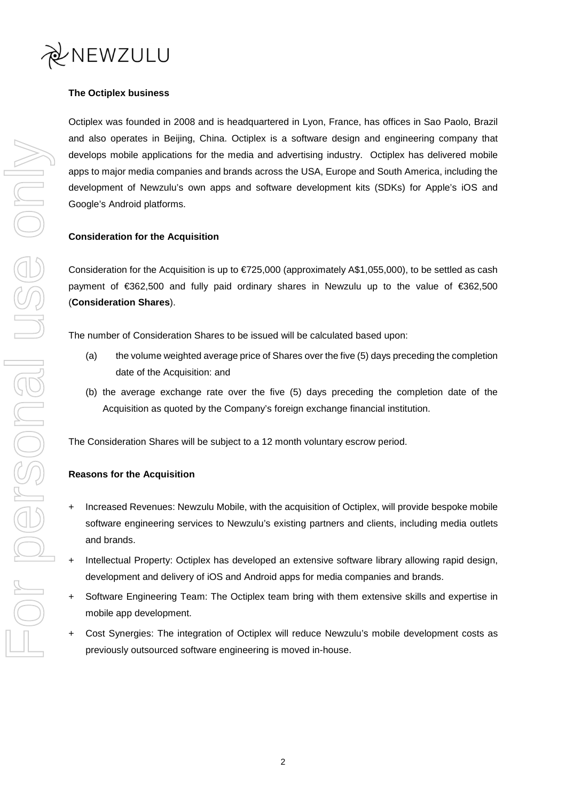

# **The Octiplex business**

Octiplex was founded in 2008 and is headquartered in Lyon, France, has offices in Sao Paolo, Brazil and also operates in Beijing, China. Octiplex is a software design and engineering company that develops mobile applications for the media and advertising industry. Octiplex has delivered mobile apps to major media companies and brands across the USA, Europe and South America, including the development of Newzulu's own apps and software development kits (SDKs) for Apple's iOS and Google's Android platforms.

## **Consideration for the Acquisition**

Consideration for the Acquisition is up to €725,000 (approximately A\$1,055,000), to be settled as cash payment of €362,500 and fully paid ordinary shares in Newzulu up to the value of €362,500 (**Consideration Shares**).

The number of Consideration Shares to be issued will be calculated based upon:

- (a) the volume weighted average price of Shares over the five (5) days preceding the completion date of the Acquisition: and
- (b) the average exchange rate over the five (5) days preceding the completion date of the Acquisition as quoted by the Company's foreign exchange financial institution.

The Consideration Shares will be subject to a 12 month voluntary escrow period.

#### **Reasons for the Acquisition**

- + Increased Revenues: Newzulu Mobile, with the acquisition of Octiplex, will provide bespoke mobile software engineering services to Newzulu's existing partners and clients, including media outlets and brands.
- + Intellectual Property: Octiplex has developed an extensive software library allowing rapid design, development and delivery of iOS and Android apps for media companies and brands.
- + Software Engineering Team: The Octiplex team bring with them extensive skills and expertise in mobile app development.
- + Cost Synergies: The integration of Octiplex will reduce Newzulu's mobile development costs as previously outsourced software engineering is moved in-house.